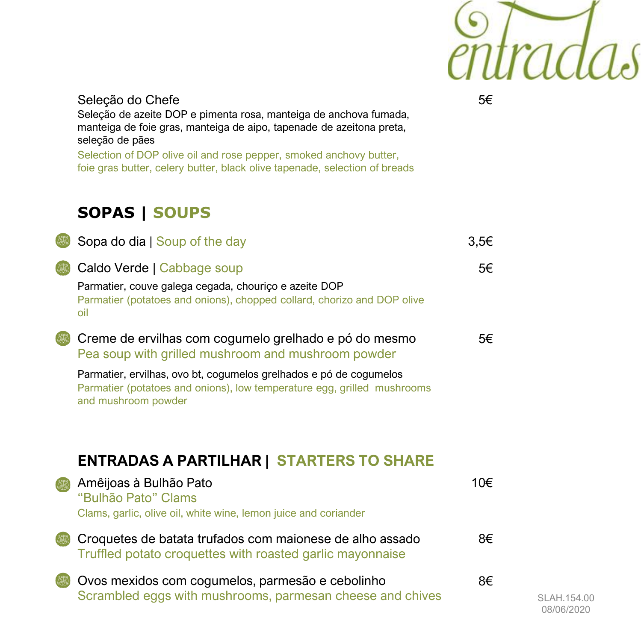

### Seleção do Chefe Seleção de azeite DOP e pimenta rosa, manteiga de anchova fumada, manteiga de foie gras, manteiga de aipo, tapenade de azeitona preta, seleção de pães

Selection of DOP olive oil and rose pepper, smoked anchovy butter, foie gras butter, celery butter, black olive tapenade, selection of breads

### **SOPAS | SOUPS**

| Sopa do dia   Soup of the day                                                                                                                                         | 3,5€ |
|-----------------------------------------------------------------------------------------------------------------------------------------------------------------------|------|
| Caldo Verde   Cabbage soup<br>Parmatier, couve galega cegada, chouriço e azeite DOP<br>Parmatier (potatoes and onions), chopped collard, chorizo and DOP olive<br>oil | 5€   |
| Creme de ervilhas com cogumelo grelhado e pó do mesmo<br>Pea soup with grilled mushroom and mushroom powder                                                           | 5€   |
| Parmatier, ervilhas, ovo bt, cogumelos grelhados e pó de cogumelos<br>Parmatier (potatoes and onions), low temperature egg, grilled mushrooms<br>and mushroom powder  |      |
| <b>ENTRADAS A PARTILHAR   STARTERS TO SHARE</b>                                                                                                                       |      |
| Amêijoas à Bulhão Pato<br>"Bulhão Pato" Clams<br>Clams, garlic, olive oil, white wine, lemon juice and coriander                                                      | 10€  |
| Croquetes de batata trufados com maionese de alho assado<br>Truffled potato croquettes with roasted garlic mayonnaise                                                 | 8€   |
| Ovos mexidos com cogumelos, parmesão e cebolinho<br>Scrambled eggs with mushrooms, parmesan cheese and chives                                                         | 8€   |

5€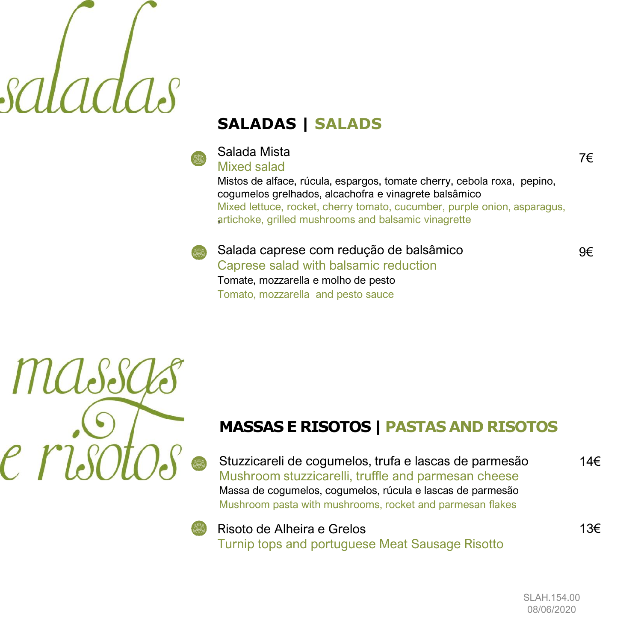### **SALADAS | SALADS**

### Salada Mista

7€

### Mixed salad

Mistos de alface, rúcula, espargos, tomate cherry, cebola roxa, pepino, cogumelos grelhados, alcachofra e vinagrete balsâmico Mixed lettuce, rocket, cherry tomato, cucumber, purple onion, asparagus, artichoke, grilled mushrooms and balsamic vinagrette

Salada caprese com redução de balsâmico Caprese salad with balsamic reduction Tomate, mozzarella e molho de pesto Tomato, mozzarella and pesto sauce

# *HICleSe*

### **MASSAS E RISOTOS | PASTAS AND RISOTOS**

Stuzzicareli de cogumelos, trufa e lascas de parmesão Mushroom stuzzicarelli, truffle and parmesan cheese Massa de cogumelos, cogumelos, rúcula e lascas de parmesão Mushroom pasta with mushrooms, rocket and parmesan flakes



Risoto de Alheira e Grelos Turnip tops and portuguese Meat Sausage Risotto 9€

14€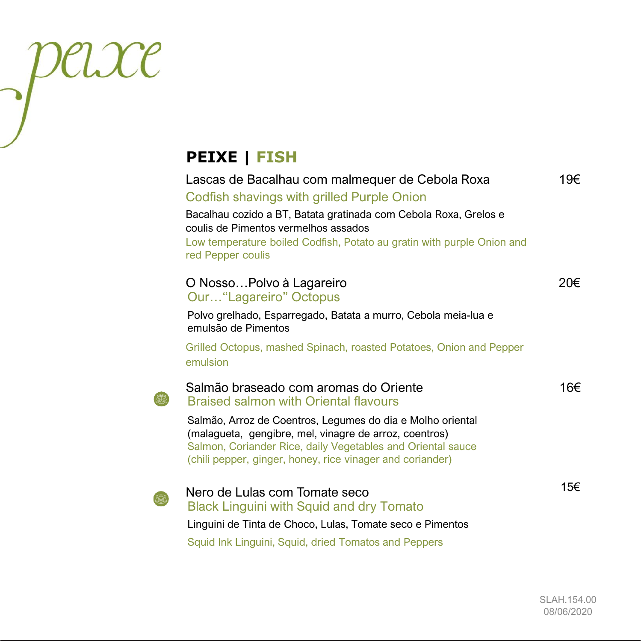### **PEIXE | FISH**

peixe

| Lascas de Bacalhau com malmequer de Cebola Roxa<br>Codfish shavings with grilled Purple Onion<br>Bacalhau cozido a BT, Batata gratinada com Cebola Roxa, Grelos e<br>coulis de Pimentos vermelhos assados<br>Low temperature boiled Codfish, Potato au gratin with purple Onion and<br>red Pepper coulis | 19€ |
|----------------------------------------------------------------------------------------------------------------------------------------------------------------------------------------------------------------------------------------------------------------------------------------------------------|-----|
| O NossoPolvo à Lagareiro<br>Our "Lagareiro" Octopus                                                                                                                                                                                                                                                      | 20€ |
| Polvo grelhado, Esparregado, Batata a murro, Cebola meia-lua e<br>emulsão de Pimentos                                                                                                                                                                                                                    |     |
| Grilled Octopus, mashed Spinach, roasted Potatoes, Onion and Pepper<br>emulsion                                                                                                                                                                                                                          |     |
| Salmão braseado com aromas do Oriente<br><b>Braised salmon with Oriental flavours</b>                                                                                                                                                                                                                    | 16€ |
| Salmão, Arroz de Coentros, Legumes do dia e Molho oriental<br>(malagueta, gengibre, mel, vinagre de arroz, coentros)<br>Salmon, Coriander Rice, daily Vegetables and Oriental sauce<br>(chili pepper, ginger, honey, rice vinager and coriander)                                                         |     |
| Nero de Lulas com Tomate seco<br><b>Black Linguini with Squid and dry Tomato</b><br>Linguini de Tinta de Choco, Lulas, Tomate seco e Pimentos<br>Squid Ink Linguini, Squid, dried Tomatos and Peppers                                                                                                    | 15€ |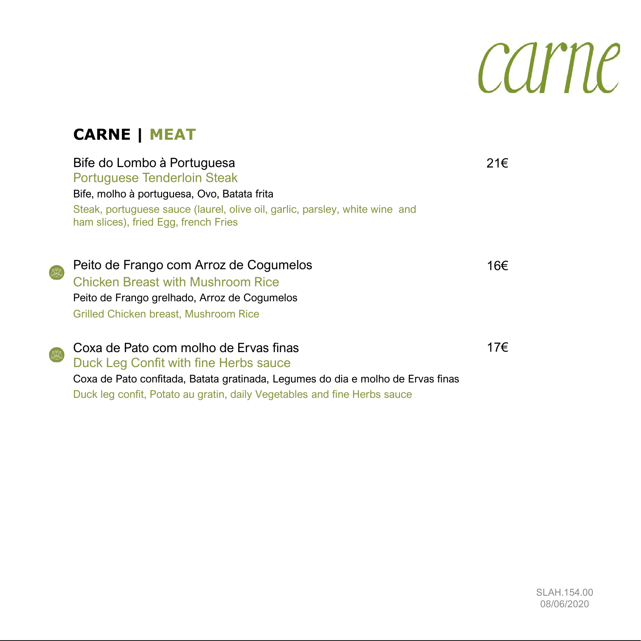## carne

### **CARNE | MEAT**

Bife do Lombo à Portuguesa Portuguese Tenderloin Steak

ham slices), fried Egg, french Fries

Bife, molho à portuguesa, Ovo, Batata frita

### 21€

Peito de Frango com Arroz de Cogumelos Chicken Breast with Mushroom Rice Peito de Frango grelhado, Arroz de Cogumelos Grilled Chicken breast, Mushroom Rice

Coxa de Pato com molho de Ervas finas Duck Leg Confit with fine Herbs sauce Coxa de Pato confitada, Batata gratinada, Legumes do dia e molho de Ervas finas Duck leg confit, Potato au gratin, daily Vegetables and fine Herbs sauce 17€

Steak, portuguese sauce (laurel, olive oil, garlic, parsley, white wine and

16€

SLAH.154.00 08/06/2020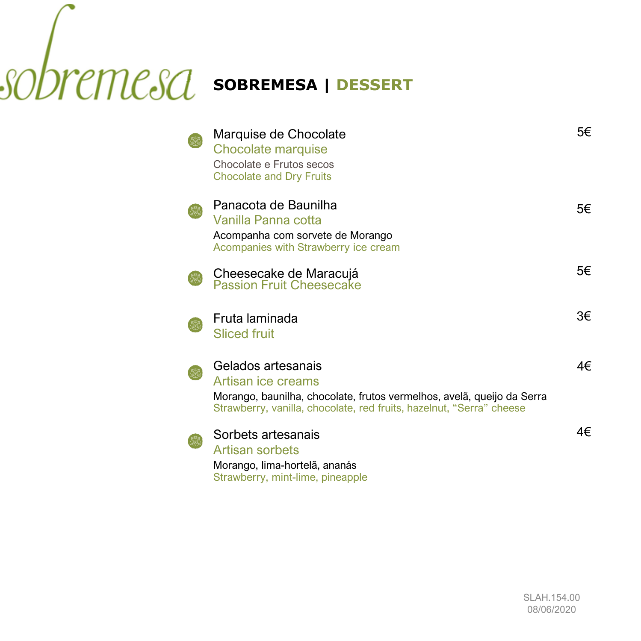### **SOBREMESA | DESSERT**

| Marquise de Chocolate<br><b>Chocolate marquise</b><br>Chocolate e Frutos secos<br><b>Chocolate and Dry Fruits</b>                                                                          | 5€ |
|--------------------------------------------------------------------------------------------------------------------------------------------------------------------------------------------|----|
| Panacota de Baunilha<br>Vanilla Panna cotta<br>Acompanha com sorvete de Morango<br>Acompanies with Strawberry ice cream                                                                    | 5€ |
| Cheesecake de Maracujá<br><b>Passion Fruit Cheesecake</b>                                                                                                                                  | 5€ |
| Fruta laminada<br><b>Sliced fruit</b>                                                                                                                                                      | 3€ |
| Gelados artesanais<br>Artisan ice creams<br>Morango, baunilha, chocolate, frutos vermelhos, avelã, queijo da Serra<br>Strawberry, vanilla, chocolate, red fruits, hazelnut, "Serra" cheese | 4€ |
| Sorbets artesanais<br>Artisan sorbets<br>Morango, lima-hortelã, ananás<br>Strawberry, mint-lime, pineapple                                                                                 | 4€ |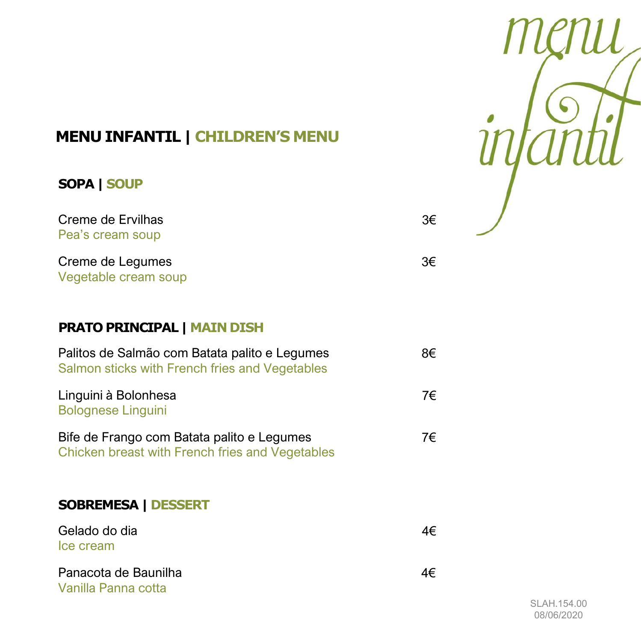

3€

3€

### **MENU INFANTIL | CHILDREN'S MENU**

### **SOPA | SOUP**

Creme de Ervilhas Pea's cream soup

Creme de Legumes Vegetable cream soup

### **PRATO PRINCIPAL | MAIN DISH**

| Palitos de Salmão com Batata palito e Legumes<br>Salmon sticks with French fries and Vegetables | 8€ |
|-------------------------------------------------------------------------------------------------|----|
| Linguini à Bolonhesa<br><b>Bolognese Linguini</b>                                               | 7€ |
| Bife de Frango com Batata palito e Legumes<br>Chicken breast with French fries and Vegetables   | 7€ |

### **SOBREMESA | DESSERT**

| Gelado do dia<br>Ice cream                  | 4€ |
|---------------------------------------------|----|
| Panacota de Baunilha<br>Vanilla Panna cotta | 4€ |